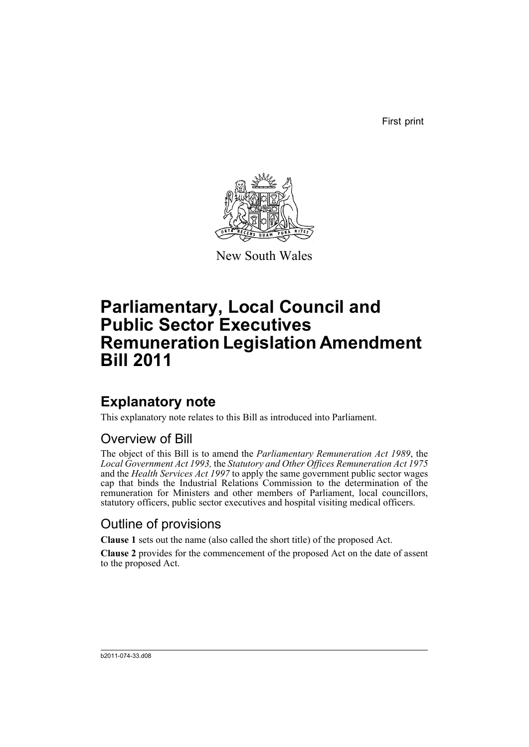First print



New South Wales

# **Parliamentary, Local Council and Public Sector Executives Remuneration Legislation Amendment Bill 2011**

## **Explanatory note**

This explanatory note relates to this Bill as introduced into Parliament.

## Overview of Bill

The object of this Bill is to amend the *Parliamentary Remuneration Act 1989*, the *Local Government Act 1993,* the *Statutory and Other Offices Remuneration Act 1975* and the *Health Services Act 1997* to apply the same government public sector wages cap that binds the Industrial Relations Commission to the determination of the remuneration for Ministers and other members of Parliament, local councillors, statutory officers, public sector executives and hospital visiting medical officers.

## Outline of provisions

**Clause 1** sets out the name (also called the short title) of the proposed Act.

**Clause 2** provides for the commencement of the proposed Act on the date of assent to the proposed Act.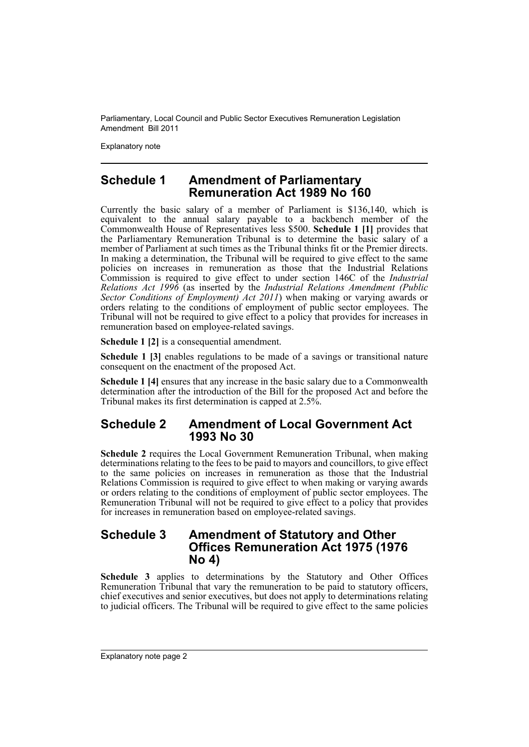Explanatory note

## **Schedule 1 Amendment of Parliamentary Remuneration Act 1989 No 160**

Currently the basic salary of a member of Parliament is \$136,140, which is equivalent to the annual salary payable to a backbench member of the Commonwealth House of Representatives less \$500. **Schedule 1 [1]** provides that the Parliamentary Remuneration Tribunal is to determine the basic salary of a member of Parliament at such times as the Tribunal thinks fit or the Premier directs. In making a determination, the Tribunal will be required to give effect to the same policies on increases in remuneration as those that the Industrial Relations Commission is required to give effect to under section 146C of the *Industrial Relations Act 1996* (as inserted by the *Industrial Relations Amendment (Public Sector Conditions of Employment) Act 2011*) when making or varying awards or orders relating to the conditions of employment of public sector employees. The Tribunal will not be required to give effect to a policy that provides for increases in remuneration based on employee-related savings.

**Schedule 1 [2]** is a consequential amendment.

**Schedule 1 [3]** enables regulations to be made of a savings or transitional nature consequent on the enactment of the proposed Act.

**Schedule 1 [4]** ensures that any increase in the basic salary due to a Commonwealth determination after the introduction of the Bill for the proposed Act and before the Tribunal makes its first determination is capped at 2.5%.

## **Schedule 2 Amendment of Local Government Act 1993 No 30**

**Schedule 2** requires the Local Government Remuneration Tribunal, when making determinations relating to the fees to be paid to mayors and councillors, to give effect to the same policies on increases in remuneration as those that the Industrial Relations Commission is required to give effect to when making or varying awards or orders relating to the conditions of employment of public sector employees. The Remuneration Tribunal will not be required to give effect to a policy that provides for increases in remuneration based on employee-related savings.

## **Schedule 3 Amendment of Statutory and Other Offices Remuneration Act 1975 (1976 No 4)**

**Schedule 3** applies to determinations by the Statutory and Other Offices Remuneration Tribunal that vary the remuneration to be paid to statutory officers, chief executives and senior executives, but does not apply to determinations relating to judicial officers. The Tribunal will be required to give effect to the same policies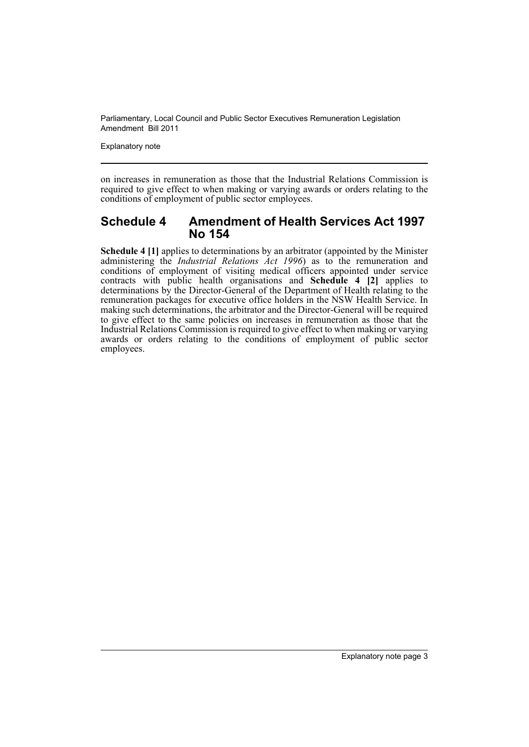Explanatory note

on increases in remuneration as those that the Industrial Relations Commission is required to give effect to when making or varying awards or orders relating to the conditions of employment of public sector employees.

## **Schedule 4 Amendment of Health Services Act 1997 No 154**

**Schedule 4 [1]** applies to determinations by an arbitrator (appointed by the Minister administering the *Industrial Relations Act 1996*) as to the remuneration and conditions of employment of visiting medical officers appointed under service contracts with public health organisations and **Schedule 4 [2]** applies to determinations by the Director-General of the Department of Health relating to the remuneration packages for executive office holders in the NSW Health Service. In making such determinations, the arbitrator and the Director-General will be required to give effect to the same policies on increases in remuneration as those that the Industrial Relations Commission is required to give effect to when making or varying awards or orders relating to the conditions of employment of public sector employees.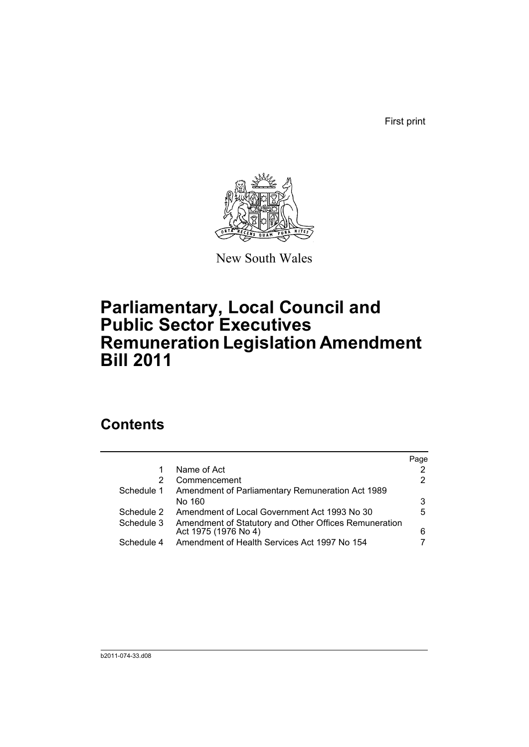First print



New South Wales

# **Parliamentary, Local Council and Public Sector Executives Remuneration Legislation Amendment Bill 2011**

## **Contents**

|            |                                                                               | Page |
|------------|-------------------------------------------------------------------------------|------|
| 1          | Name of Act                                                                   |      |
| 2          | Commencement                                                                  | 2    |
| Schedule 1 | Amendment of Parliamentary Remuneration Act 1989                              |      |
|            | No 160                                                                        | 3    |
| Schedule 2 | Amendment of Local Government Act 1993 No 30                                  | 5    |
| Schedule 3 | Amendment of Statutory and Other Offices Remuneration<br>Act 1975 (1976 No 4) | 6    |
| Schedule 4 | Amendment of Health Services Act 1997 No 154                                  |      |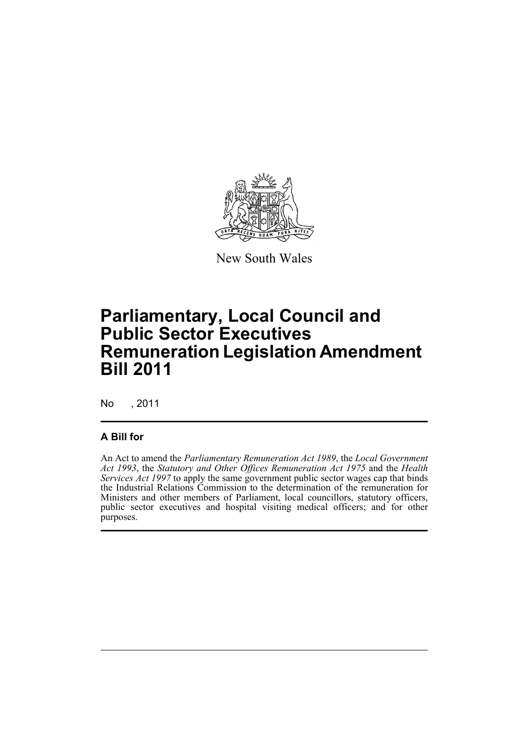

New South Wales

# **Parliamentary, Local Council and Public Sector Executives Remuneration Legislation Amendment Bill 2011**

No , 2011

### **A Bill for**

An Act to amend the *Parliamentary Remuneration Act 1989*, the *Local Government Act 1993*, the *Statutory and Other Offices Remuneration Act 1975* and the *Health Services Act 1997* to apply the same government public sector wages cap that binds the Industrial Relations Commission to the determination of the remuneration for Ministers and other members of Parliament, local councillors, statutory officers, public sector executives and hospital visiting medical officers; and for other purposes.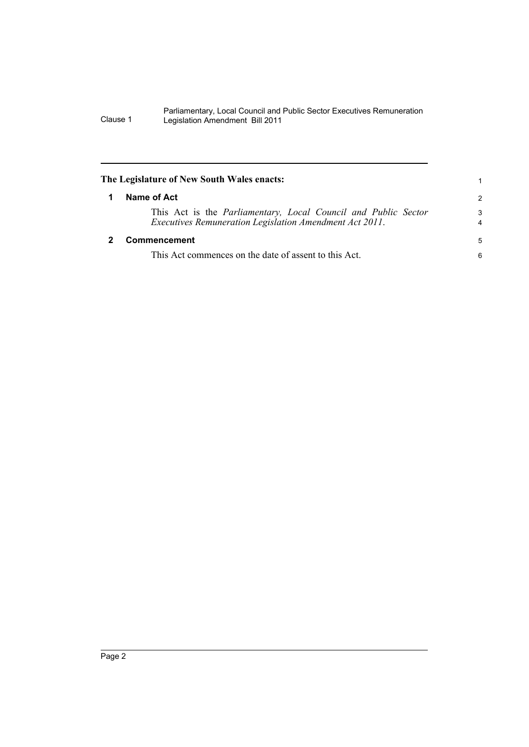<span id="page-7-1"></span><span id="page-7-0"></span>

| The Legislature of New South Wales enacts:                                                                                | 1                   |
|---------------------------------------------------------------------------------------------------------------------------|---------------------|
| Name of Act                                                                                                               |                     |
| This Act is the Parliamentary, Local Council and Public Sector<br>Executives Remuneration Legislation Amendment Act 2011. | 3<br>$\overline{4}$ |
| Commencement                                                                                                              | 5                   |
| This Act commences on the date of assent to this Act.                                                                     | 6                   |
|                                                                                                                           |                     |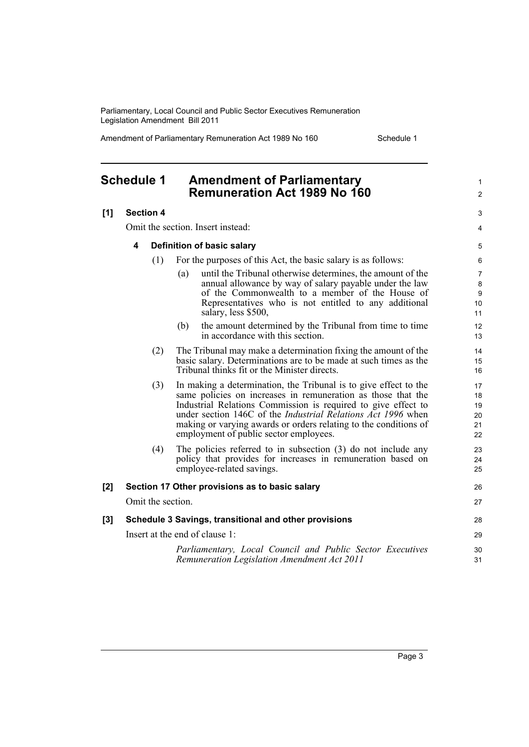Amendment of Parliamentary Remuneration Act 1989 No 160 Schedule 1

1  $\mathfrak{p}$ 

 $\overline{a}$ 4

31

## <span id="page-8-0"></span>**Schedule 1 Amendment of Parliamentary Remuneration Act 1989 No 160**

### **[1] Section 4**

Omit the section. Insert instead:

#### **4 Definition of basic salary**

- (1) For the purposes of this Act, the basic salary is as follows:
	- (a) until the Tribunal otherwise determines, the amount of the annual allowance by way of salary payable under the law of the Commonwealth to a member of the House of Representatives who is not entitled to any additional salary, less \$500,
	- (b) the amount determined by the Tribunal from time to time in accordance with this section.
- (2) The Tribunal may make a determination fixing the amount of the basic salary. Determinations are to be made at such times as the Tribunal thinks fit or the Minister directs.
- (3) In making a determination, the Tribunal is to give effect to the same policies on increases in remuneration as those that the Industrial Relations Commission is required to give effect to under section 146C of the *Industrial Relations Act 1996* when making or varying awards or orders relating to the conditions of employment of public sector employees.
- (4) The policies referred to in subsection (3) do not include any policy that provides for increases in remuneration based on employee-related savings.

#### **[2] Section 17 Other provisions as to basic salary** Omit the section. **[3] Schedule 3 Savings, transitional and other provisions** Insert at the end of clause 1: 26 27 28 29 30

*Parliamentary, Local Council and Public Sector Executives Remuneration Legislation Amendment Act 2011*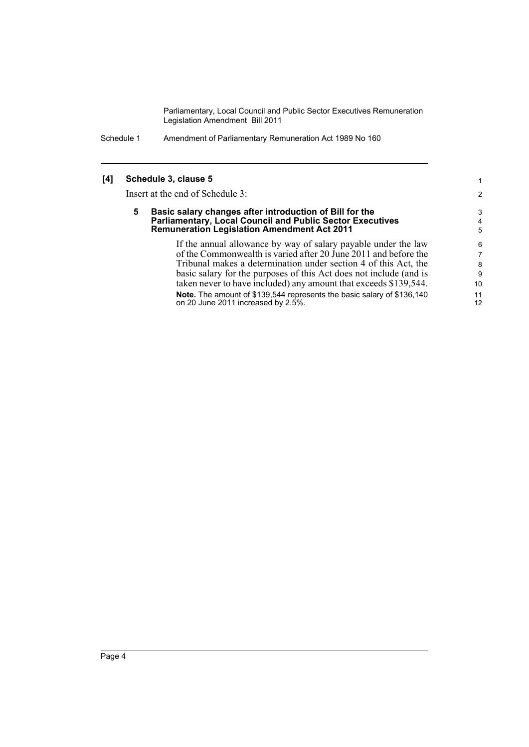Schedule 1 Amendment of Parliamentary Remuneration Act 1989 No 160

### **[4] Schedule 3, clause 5**

Insert at the end of Schedule 3:

#### **5 Basic salary changes after introduction of Bill for the Parliamentary, Local Council and Public Sector Executives Remuneration Legislation Amendment Act 2011**

If the annual allowance by way of salary payable under the law of the Commonwealth is varied after 20 June 2011 and before the Tribunal makes a determination under section 4 of this Act, the basic salary for the purposes of this Act does not include (and is taken never to have included) any amount that exceeds \$139,544. **Note.** The amount of \$139,544 represents the basic salary of \$136,140 on 20 June 2011 increased by 2.5%. 10 11 12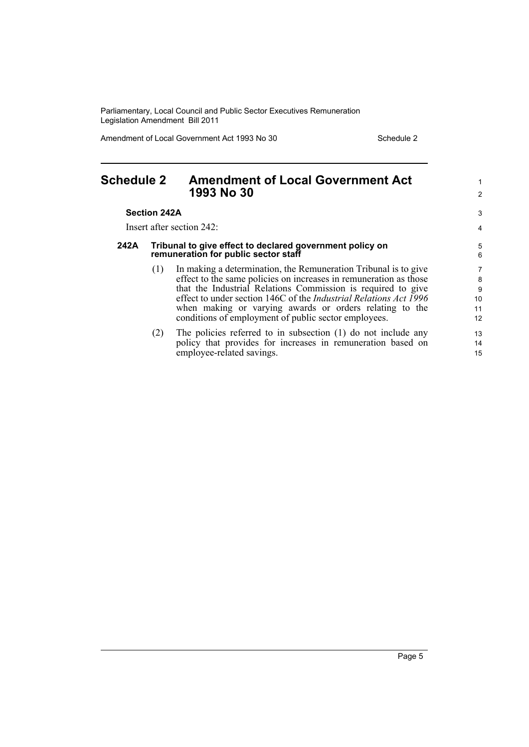Amendment of Local Government Act 1993 No 30 Schedule 2

14 15

<span id="page-10-0"></span>

| <b>Schedule 2</b>   |     | <b>Amendment of Local Government Act</b><br>1993 No 30                                                                                                                                                                                                                                                                                                                                              | 2                                          |  |
|---------------------|-----|-----------------------------------------------------------------------------------------------------------------------------------------------------------------------------------------------------------------------------------------------------------------------------------------------------------------------------------------------------------------------------------------------------|--------------------------------------------|--|
| <b>Section 242A</b> |     |                                                                                                                                                                                                                                                                                                                                                                                                     |                                            |  |
|                     |     | Insert after section 242:                                                                                                                                                                                                                                                                                                                                                                           | 4                                          |  |
| 242A                |     | Tribunal to give effect to declared government policy on<br>remuneration for public sector staff                                                                                                                                                                                                                                                                                                    | 5<br>6                                     |  |
|                     | (1) | In making a determination, the Remuneration Tribunal is to give<br>effect to the same policies on increases in remuneration as those<br>that the Industrial Relations Commission is required to give<br>effect to under section 146C of the <i>Industrial Relations Act 1996</i><br>when making or varying awards or orders relating to the<br>conditions of employment of public sector employees. | $\overline{7}$<br>8<br>9<br>10<br>11<br>12 |  |
|                     | (2) | The policies referred to in subsection (1) do not include any                                                                                                                                                                                                                                                                                                                                       | 13                                         |  |

(2) The policies referred to in subsection (1) do not include any policy that provides for increases in remuneration based on employee-related savings.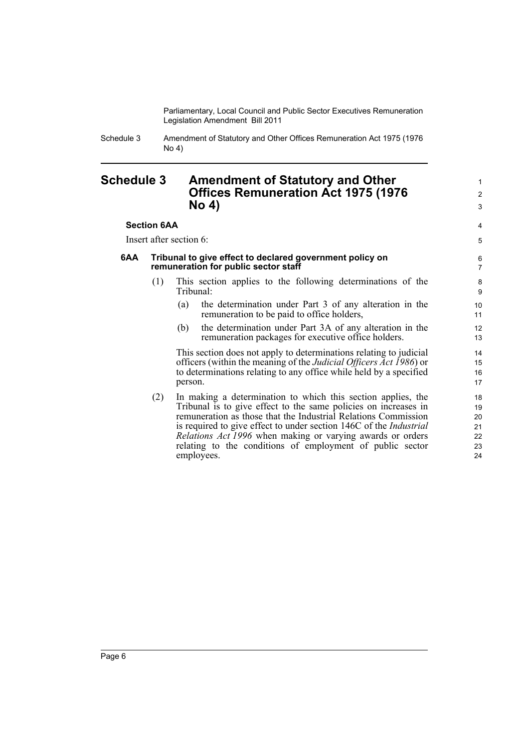Schedule 3 Amendment of Statutory and Other Offices Remuneration Act 1975 (1976 No 4)

### <span id="page-11-0"></span>**Schedule 3 Amendment of Statutory and Other Offices Remuneration Act 1975 (1976 No 4)**

### **Section 6AA**

Insert after section 6:

#### **6AA Tribunal to give effect to declared government policy on remuneration for public sector staff**

- (1) This section applies to the following determinations of the Tribunal:
	- (a) the determination under Part 3 of any alteration in the remuneration to be paid to office holders,
	- (b) the determination under Part 3A of any alteration in the remuneration packages for executive office holders.

This section does not apply to determinations relating to judicial officers (within the meaning of the *Judicial Officers Act 1986*) or to determinations relating to any office while held by a specified person.

(2) In making a determination to which this section applies, the Tribunal is to give effect to the same policies on increases in remuneration as those that the Industrial Relations Commission is required to give effect to under section 146C of the *Industrial Relations Act 1996* when making or varying awards or orders relating to the conditions of employment of public sector employees.

1 2 3

4 5